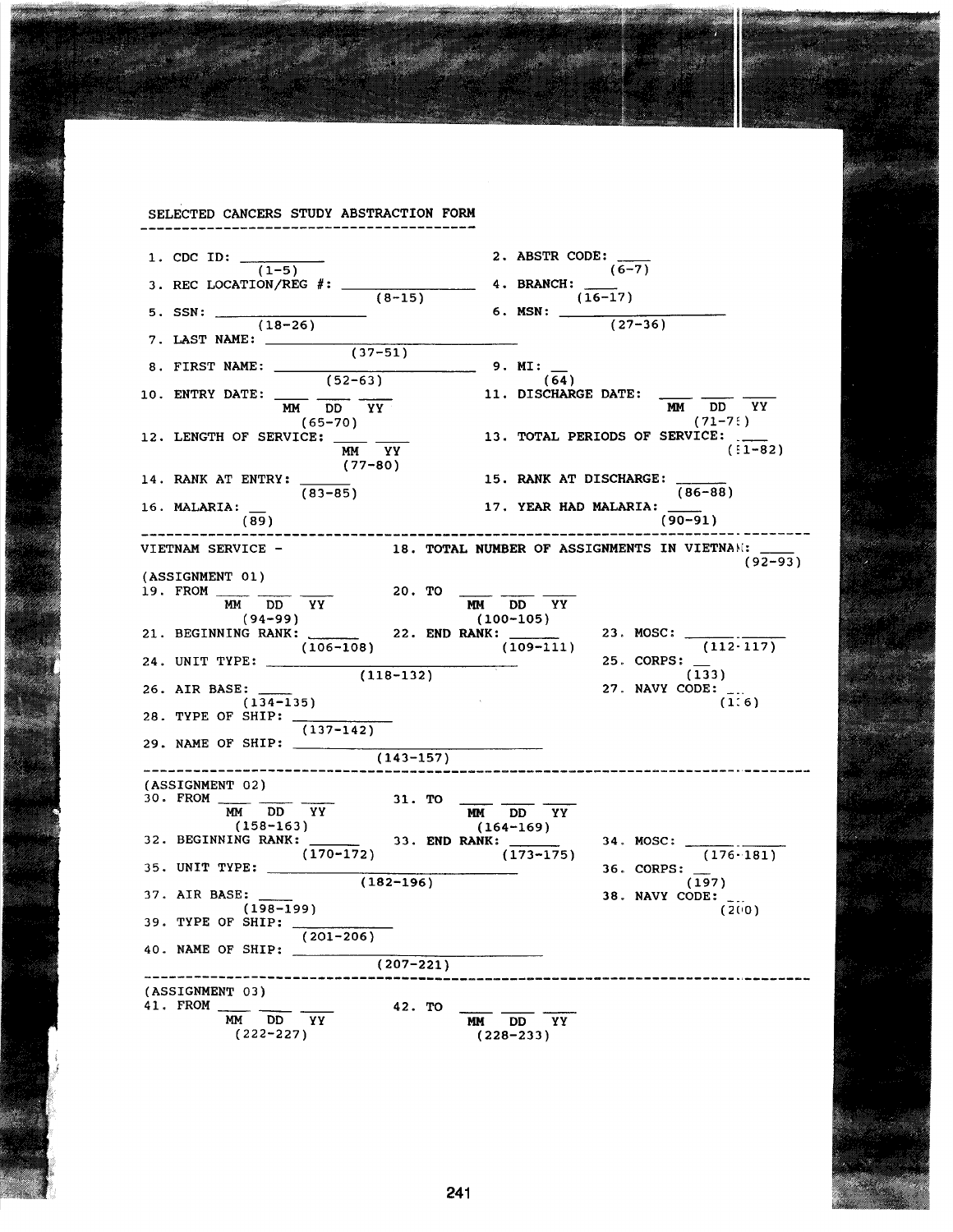SELECTED CANCERS STUDY ABSTRACTION FORM 1. CDC ID:  $\frac{(1-5)}{(1-5)}$  2. ABSTR CODE:  $\frac{(6-7)}{(6-7)}$  $(1-5)$   $(6-7)$  $3.$  REC LOCATION/REG  $\#$ :  $\_\_\_\_\_\_\_\_\_\_\_\_$  4. BRANCH:  $(8-15)$   $(16-17)$ 5. SSN:  $\frac{(8-15)}{(16-17)}$  6. MSN:  $\frac{(27-15)}{(16-17)}$  $(18-26)$   $(27-36)$ 7. LAST NAME:  $(37-51)$ 8. FIRST NAME:  $(52-63)$  $(52-63)$   $(64)$ 11. DISCHARGE DATE: 10. ENTRY DATE: \_\_\_\_ \_\_\_\_ \_\_\_\_ 11. DISCHARGE DATE: MM DD YY MM DD YY  $(65-70)$  (71-7:) 12. LENGTH OF SERVICE: 13. TOTAL PERIODS OF SERVICE: 12. 13. TOTAL PERIODS OF SERVICE:  $(1-82)$ (77-80) 14. RANK AT ENTRY: 15. RANK AT DISCHARGE: 15. RANK AT DISCHARGE:  $\frac{15.885}{(86-88)}$ <br>17. YEAR HAD MALARIA: \_\_\_\_\_  $(83-85)$  (83-85) (86-<br>17. YEAR HAD MALARIA:  $\frac{1}{2}$ 16. MALARIA:  $\frac{15}{(89)}$  (90-91) VIETNAM SERVICE - 18. TOTAL NUMBER OF ASSIGNMENTS IN VIETNlI~:: (92-93) (ASSIGNMENT 01) 19. FROM  $\frac{MN}{MM}$  DD YY 20. TO -<br>(94-99) MM DD YY MM DD YY (94-99) (100-105) 21. BEGINNING RANK: 22. END RANK: 23. MOSC: --------- (106-108) (109-111) (112-117) 24. UNIT TYPE: 25. CORPS:  $(118-132)$   $(133)$ 26. AIR BASE: 27. NAVY CODE:  $(134-135)$   $(1:6)$ 28. TYPE OF SHIP: (137-142)  $29.$  NAME OF SHIP:  $\_\_\_\_\_\_\_\$  $(143 - 157)$ (ASSIGNMENT 02)<br>  $\frac{30. \text{ FROM}}{MM} \frac{100}{DD} \frac{YY}{YY}$ <br>  $\frac{31. \text{ TO}}{164-169}$ <br>  $\frac{164-169}{YY}$ 32. BEGINNING RANK:  $(158-163)$ <br>33. END RANK:  $(173-175)$  34. MOSC:  $(176.181)$ 35. UNIT TYPE:  $\frac{1}{2}$  36. CORPS:  $(X: (170-172)$ <br>  $(182-196)$ <br>  $(X: (173-175)$ <br>  $(182-196)$ <br>  $(X: (197)$ <br>  $X: (197)$ <br>  $X: (197)$ <br>  $X: (197)$ <br>  $X: (197)$ <br>  $X: (197)$ 37. AIR BASE:  $(198-199)$  (2008)  $(198-199)$   $(2(0)$ 39. TYPE OF SHIP:  $(201 - 206)$ 40. NAME OF SHIP:  $(207 - 221)$ ------------------------------------------------------ -----------------~,-------- (ASSIGNMENT 03) 41. FROM \_\_\_\_\_\_ 42. TO  $\frac{MN}{MD}$   $\frac{DD}{YY}$  42. TO  $\frac{MN}{MD}$   $\frac{DD}{YY}$   $\frac{YY}{(228-233)}$  $(222-227)$   $(228-233)$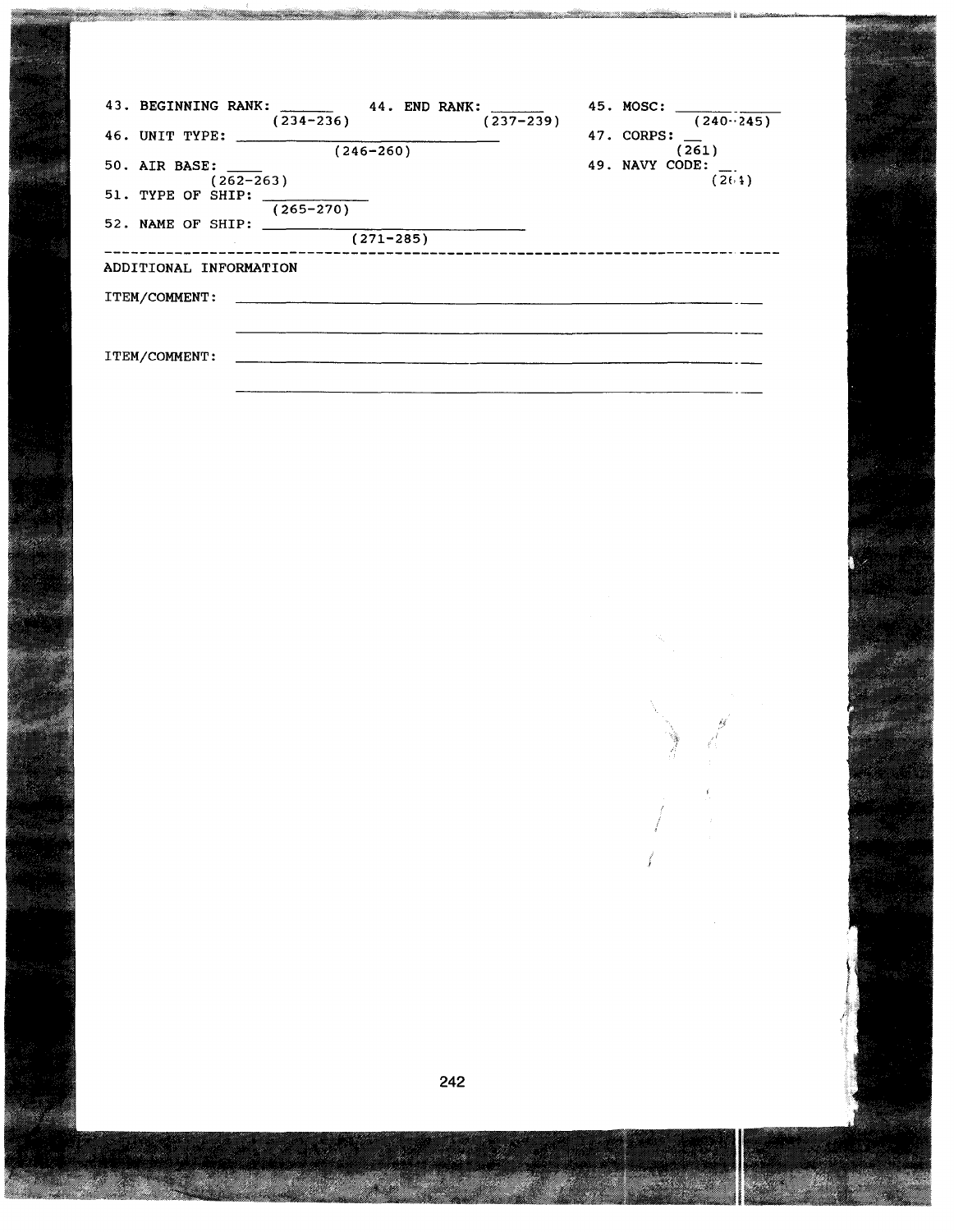|                                      | 43. BEGINNING RANK: 44. END RANK: _____<br>$(234-236)$<br>$(237 - 239)$ | 45. MOSC:<br>$(240-245)$          |  |  |
|--------------------------------------|-------------------------------------------------------------------------|-----------------------------------|--|--|
|                                      |                                                                         | 47. CORPS: $\_\_$                 |  |  |
| 50. AIR BASE:<br>$(262 - 263)$       | $(246 - 260)$                                                           | (261)<br>49. NAVY CODE:<br>(20.1) |  |  |
| $51.$ TYPE OF SHIP:<br>$(265 - 270)$ |                                                                         |                                   |  |  |
| 52. NAME OF SHIP:                    | $(271 - 285)$                                                           |                                   |  |  |
| ADDITIONAL INFORMATION               |                                                                         |                                   |  |  |
| <b>ITEM/COMMENT:</b>                 |                                                                         |                                   |  |  |
|                                      |                                                                         |                                   |  |  |
| ITEM/COMMENT:                        |                                                                         |                                   |  |  |

, /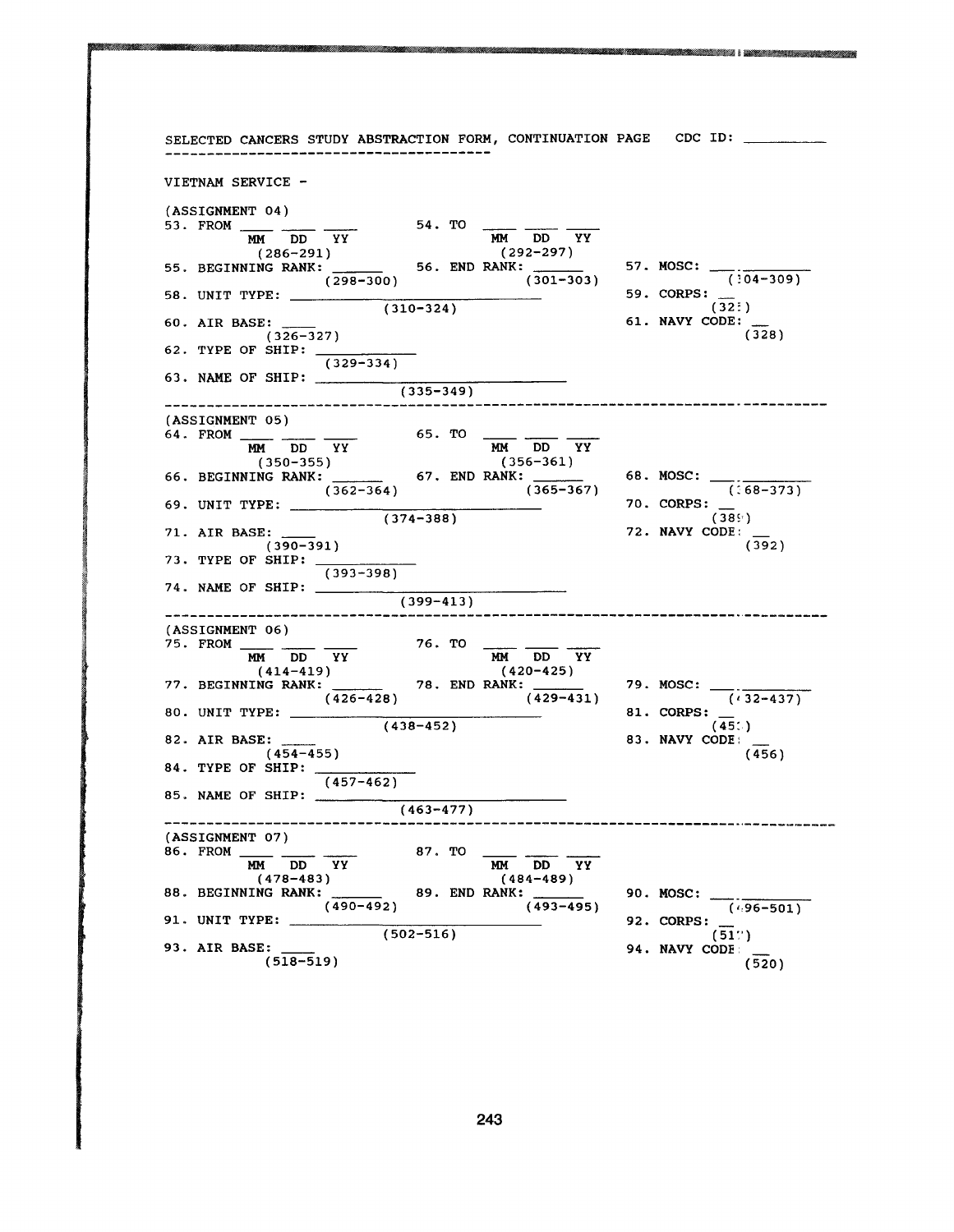SELECTED CANCERS STUDY ABSTRACTION FORM, CONTINUATION PAGE CDC ID: VIETNAM SERVICE ֧֪֦֪֦֖֧֦ׅ֪֦֖֧֝֟֝֟֟֝֬֝֟֟֝֬֝֝֬֝֟֩֝֬֝֬֝֬֝֟֓֝֬֝֝֬ (ASSIGNMENT 04) (ASSIGNMENT 04)<br>
53. FROM  $\frac{MN}{MM}$  DD YY 54. TO  $\frac{MN}{MM}$  DD YY (286-291) (292-297) (286–291)<br>57. MOSC: SEGINNING RANK: \_\_\_\_\_\_\_ 56. END RANK: \_\_\_\_\_\_\_\_ 57. MOSC: \_\_\_\_\_\_\_\_\_\_\_\_\_ ANK:  $(298-300)$  56. END RANK: 57. MOSC:  $(301-303)$  59. CORPS:  $(304-309)$ 58. UNIT TYPE:  $\frac{255 - 555}{(310 - 324)}$  59. CORPS:  $\frac{1}{(322)}$  $(310-324)$  (32: )<br>61. NAVY CODE: 60. AIR BASE:  $(326-327)$  (326)  $(326-327)$  (328) 62. TYPE OF SHIP: (329-334) 63. NAME OF SHIP: \_\_\_\_\_\_\_  $(335-349)$ -----------------------------------(ASSIGNMENT 05)<br>  $64. \text{ FROM} \longrightarrow_{\text{MM}} \text{DD} \longrightarrow_{\text{YY}}$ <br>
(350-355) (356-361)<br>
(356-361) (356-361)<br>
(356-361) (356-361) (356-361) (356-361) (356-361) (ASSIGNMENT 05) MM DD<br>
(356-361)<br>
PANK: 68. MOSC: (58-373)  $(374-388)$ <br>  $(385)$ <br>  $(385)$ <br>  $(385)$ <br>  $(385)$ <br>  $(385)$ <br>  $(385)$ <br>  $(385)$ 69. UNIT TYPE: 70. CORPS: 71. AIR BASE:  $(390-391)$  72. NAVY CODE:  $(392)$  $(390-391)$  (392) 73. TYPE OF SHIP: (393-398) 74. NAME OF SHIP:  $\overline{\phantom{a} \phantom{a}}$  $(399-413)$  $\begin{array}{ccc} \texttt{(ASSIGNMENT 06)} \\ \texttt{(ASSIGNMENT 06)} \\ \texttt{75. FROM} & \texttt{DM} & \texttt{DD} & \texttt{YY} \\ \texttt{(414-419)} & & \texttt{(420-425)} \\ \texttt{77. BEGINNING RANK:} & \texttt{78. END RANK:} & \texttt{79. MOSC:} \end{array}$  $(ASSIGNMENT 06)$ <br>75.  $FROM 2222$ (438-452) (438-452)<br>
(438-452) (438-452)<br>
(45: )<br>
(45: )<br>
(45: )<br>
(45: )<br>
(45: )<br>
(45: )<br>
(45: )  $(426-428)$   $(429-431)$   $(432-437)$ 80. UNIT TYPE: 81. CORPS: 82. AIR BASE: 83. NAVY CODE:  $(454-455)$  (456) 84. TYPE OF SHIP: (457-462) 85. NAME OF SHIP:  $(463 - 477)$ (ASSIGNMENT 07)<br>
86. FROM  $\frac{MN}{MM}$  DD YY 87. TO  $\frac{MN}{MM}$  DD YY<br>
(478-483) (484-489)<br>
88. BEGINNING RANK: 89. END RANK: 90. MOSC:  $(490-492)$   $(493-495)$   $(496-501)$  $(502-516)$ <br>  $(502-516)$ <br>  $(51'')$ <br>  $94. NAVY CODE$ 91. UNIT TYPE: 92. CORPS: 93. AIR BASE:  $(518-519)$  94. NAVY CODE (520)  $(518 - 519)$ 

ENEZ I DEZARTATURKOAK ERRE